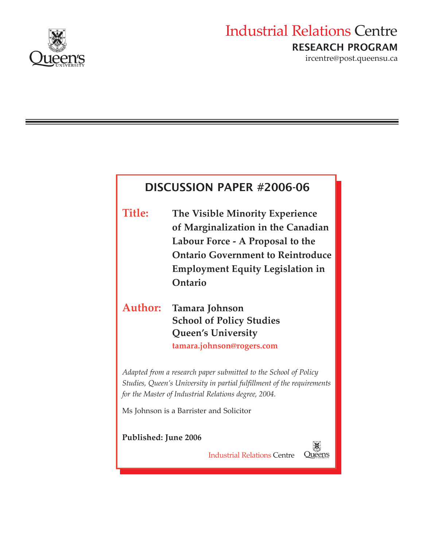

# Industrial Relations Centre RESEARCH PROGRAM

ircentre@post.queensu.ca

# DISCUSSION PAPER #2006-06

**Title: The Visible Minority Experience of Marginalization in the Canadian Labour Force - A Proposal to the Ontario Government to Reintroduce Employment Equity Legislation in Ontario** 

# **Author: Tamara Johnson School of Policy Studies Queen's University tamara.johnson@rogers.com**

*Adapted from a research paper submitted to the School of Policy Studies, Queen's University in partial fulfillment of the requirements for the Master of Industrial Relations degree, 2004.* 

Ms Johnson is a Barrister and Solicitor

**Published: June 2006** 

Industrial Relations Centre

Queen's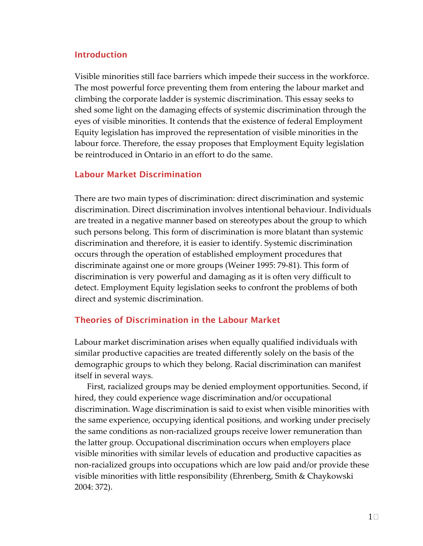## Introduction

 Visible minorities still face barriers which impede their success in the workforce. The most powerful force preventing them from entering the labour market and climbing the corporate ladder is systemic discrimination. This essay seeks to shed some light on the damaging effects of systemic discrimination through the eyes of visible minorities. It contends that the existence of federal Employment Equity legislation has improved the representation of visible minorities in the labour force. Therefore, the essay proposes that Employment Equity legislation be reintroduced in Ontario in an effort to do the same.

## Labour Market Discrimination

 There are two main types of discrimination: direct discrimination and systemic discrimination. Direct discrimination involves intentional behaviour. Individuals are treated in a negative manner based on stereotypes about the group to which such persons belong. This form of discrimination is more blatant than systemic discrimination and therefore, it is easier to identify. Systemic discrimination occurs through the operation of established employment procedures that discriminate against one or more groups (Weiner 1995: 79‐81). This form of discrimination is very powerful and damaging as it is often very difficult to detect. Employment Equity legislation seeks to confront the problems of both direct and systemic discrimination.

## Theories of Discrimination in the Labour Market

 Labour market discrimination arises when equally qualified individuals with similar productive capacities are treated differently solely on the basis of the demographic groups to which they belong. Racial discrimination can manifest itself in several ways.

 First, racialized groups may be denied employment opportunities. Second, if hired, they could experience wage discrimination and/or occupational discrimination. Wage discrimination is said to exist when visible minorities with the same experience, occupying identical positions, and working under precisely the same conditions as non‐racialized groups receive lower remuneration than the latter group. Occupational discrimination occurs when employers place visible minorities with similar levels of education and productive capacities as non‐racialized groups into occupations which are low paid and/or provide these visible minorities with little responsibility (Ehrenberg, Smith & Chaykowski 2004: 372).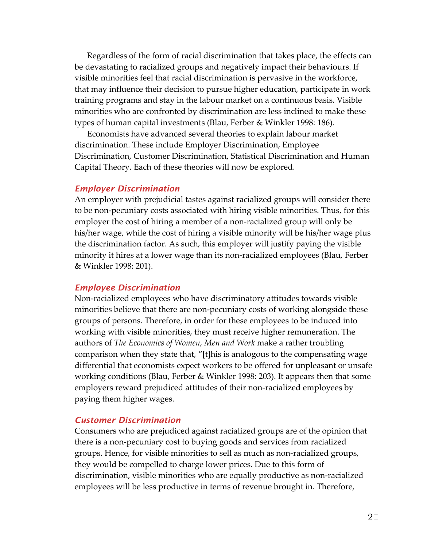Regardless of the form of racial discrimination that takes place, the effects can be devastating to racialized groups and negatively impact their behaviours. If visible minorities feel that racial discrimination is pervasive in the workforce, that may influence their decision to pursue higher education, participate in work training programs and stay in the labour market on a continuous basis. Visible minorities who are confronted by discrimination are less inclined to make these types of human capital investments (Blau, Ferber & Winkler 1998: 186).

 Economists have advanced several theories to explain labour market discrimination. These include Employer Discrimination, Employee Discrimination, Customer Discrimination, Statistical Discrimination and Human Capital Theory. Each of these theories will now be explored.

#### *Employer Discrimination*

 An employer with prejudicial tastes against racialized groups will consider there to be non‐pecuniary costs associated with hiring visible minorities. Thus, for this employer the cost of hiring a member of a non‐racialized group will only be his/her wage, while the cost of hiring a visible minority will be his/her wage plus the discrimination factor. As such, this employer will justify paying the visible minority it hires at a lower wage than its non‐racialized employees (Blau, Ferber & Winkler 1998: 201).

#### *Employee Discrimination*

 Non‐racialized employees who have discriminatory attitudes towards visible minorities believe that there are non‐pecuniary costs of working alongside these groups of persons. Therefore, in order for these employees to be induced into working with visible minorities, they must receive higher remuneration. The  authors of *The Economics of Women, Men and Work* make a rather troubling comparison when they state that, "[t]his is analogous to the compensating wage differential that economists expect workers to be offered for unpleasant or unsafe working conditions (Blau, Ferber & Winkler 1998: 203). It appears then that some employers reward prejudiced attitudes of their non‐racialized employees by paying them higher wages.

#### *Customer Discrimination*

 Consumers who are prejudiced against racialized groups are of the opinion that there is a non‐pecuniary cost to buying goods and services from racialized groups. Hence, for visible minorities to sell as much as non‐racialized groups, they would be compelled to charge lower prices. Due to this form of discrimination, visible minorities who are equally productive as non‐racialized employees will be less productive in terms of revenue brought in. Therefore,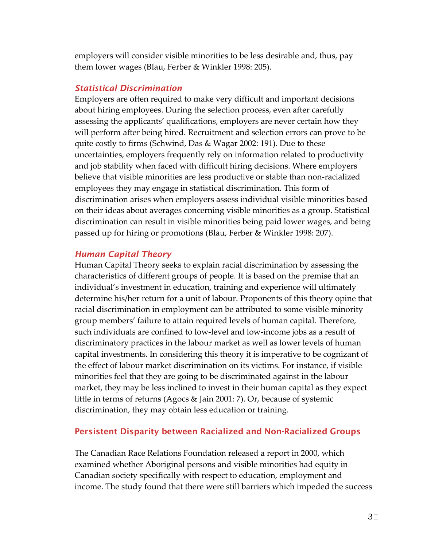employers will consider visible minorities to be less desirable and, thus, pay them lower wages (Blau, Ferber & Winkler 1998: 205).

#### *Statistical Discrimination*

 Employers are often required to make very difficult and important decisions about hiring employees. During the selection process, even after carefully assessing the applicants' qualifications, employers are never certain how they will perform after being hired. Recruitment and selection errors can prove to be quite costly to firms (Schwind, Das & Wagar 2002: 191). Due to these uncertainties, employers frequently rely on information related to productivity and job stability when faced with difficult hiring decisions. Where employers believe that visible minorities are less productive or stable than non‐racialized employees they may engage in statistical discrimination. This form of discrimination arises when employers assess individual visible minorities based on their ideas about averages concerning visible minorities as a group. Statistical discrimination can result in visible minorities being paid lower wages, and being passed up for hiring or promotions (Blau, Ferber & Winkler 1998: 207).

### *Human Capital Theory*

 Human Capital Theory seeks to explain racial discrimination by assessing the characteristics of different groups of people. It is based on the premise that an individual's investment in education, training and experience will ultimately determine his/her return for a unit of labour. Proponents of this theory opine that racial discrimination in employment can be attributed to some visible minority group members' failure to attain required levels of human capital. Therefore, such individuals are confined to low‐level and low‐income jobs as a result of discriminatory practices in the labour market as well as lower levels of human capital investments. In considering this theory it is imperative to be cognizant of the effect of labour market discrimination on its victims. For instance, if visible minorities feel that they are going to be discriminated against in the labour market, they may be less inclined to invest in their human capital as they expect little in terms of returns (Agocs & Jain 2001: 7). Or, because of systemic discrimination, they may obtain less education or training.

## Persistent Disparity between Racialized and Non-Racialized Groups

 The Canadian Race Relations Foundation released a report in 2000, which examined whether Aboriginal persons and visible minorities had equity in Canadian society specifically with respect to education, employment and income. The study found that there were still barriers which impeded the success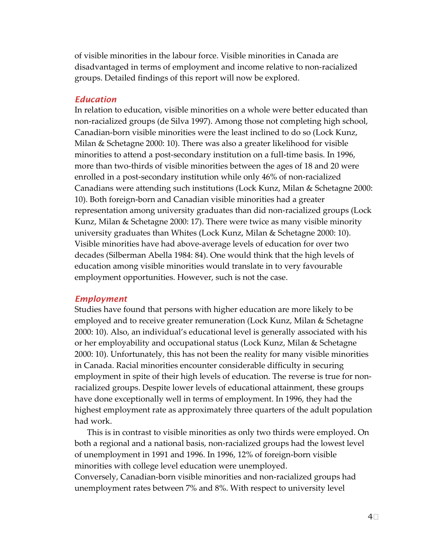of visible minorities in the labour force. Visible minorities in Canada are disadvantaged in terms of employment and income relative to non‐racialized groups. Detailed findings of this report will now be explored.

#### *Education*

 In relation to education, visible minorities on a whole were better educated than non‐racialized groups (de Silva 1997). Among those not completing high school, Canadian‐born visible minorities were the least inclined to do so (Lock Kunz, Milan & Schetagne 2000: 10). There was also a greater likelihood for visible minorities to attend a post‐secondary institution on a full‐time basis. In 1996, more than two‐thirds of visible minorities between the ages of 18 and 20 were enrolled in a post‐secondary institution while only 46% of non‐racialized Canadians were attending such institutions (Lock Kunz, Milan & Schetagne 2000: 10). Both foreign‐born and Canadian visible minorities had a greater representation among university graduates than did non‐racialized groups (Lock Kunz, Milan & Schetagne 2000: 17). There were twice as many visible minority university graduates than Whites (Lock Kunz, Milan & Schetagne 2000: 10). Visible minorities have had above‐average levels of education for over two decades (Silberman Abella 1984: 84). One would think that the high levels of education among visible minorities would translate in to very favourable employment opportunities. However, such is not the case.

#### *Employment*

 Studies have found that persons with higher education are more likely to be employed and to receive greater remuneration (Lock Kunz, Milan & Schetagne 2000: 10). Also, an individual's educational level is generally associated with his or her employability and occupational status (Lock Kunz, Milan & Schetagne 2000: 10). Unfortunately, this has not been the reality for many visible minorities in Canada. Racial minorities encounter considerable difficulty in securing employment in spite of their high levels of education. The reverse is true for non‐ racialized groups. Despite lower levels of educational attainment, these groups have done exceptionally well in terms of employment. In 1996, they had the highest employment rate as approximately three quarters of the adult population had work.

 This is in contrast to visible minorities as only two thirds were employed. On both a regional and a national basis, non‐racialized groups had the lowest level of unemployment in 1991 and 1996. In 1996, 12% of foreign‐born visible minorities with college level education were unemployed.

 Conversely, Canadian‐born visible minorities and non‐racialized groups had unemployment rates between 7% and 8%. With respect to university level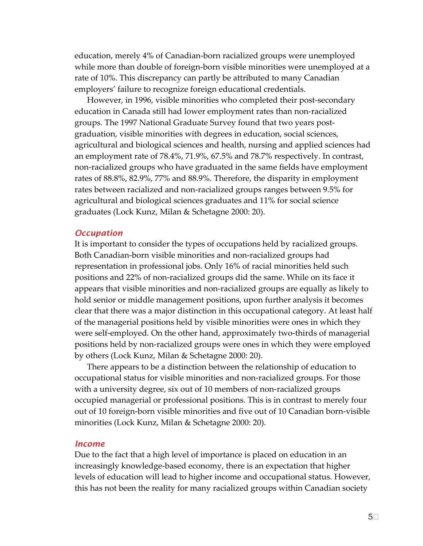education, merely 4% of Canadian‐born racialized groups were unemployed while more than double of foreign‐born visible minorities were unemployed at a rate of 10%. This discrepancy can partly be attributed to many Canadian employers' failure to recognize foreign educational credentials.

 However, in 1996, visible minorities who completed their post‐secondary education in Canada still had lower employment rates than non‐racialized groups. The 1997 National Graduate Survey found that two years post‐ graduation, visible minorities with degrees in education, social sciences, agricultural and biological sciences and health, nursing and applied sciences had an employment rate of 78.4%, 71.9%, 67.5% and 78.7% respectively. In contrast, non‐racialized groups who have graduated in the same fields have employment rates of 88.8%, 82.9%, 77% and 88.9%. Therefore, the disparity in employment rates between racialized and non‐racialized groups ranges between 9.5% for agricultural and biological sciences graduates and 11% for social science graduates (Lock Kunz, Milan & Schetagne 2000: 20).

#### *Occupation*

 It is important to consider the types of occupations held by racialized groups. Both Canadian‐born visible minorities and non‐racialized groups had representation in professional jobs. Only 16% of racial minorities held such positions and 22% of non‐racialized groups did the same. While on its face it appears that visible minorities and non‐racialized groups are equally as likely to hold senior or middle management positions, upon further analysis it becomes clear that there was a major distinction in this occupational category. At least half of the managerial positions held by visible minorities were ones in which they were self‐employed. On the other hand, approximately two‐thirds of managerial positions held by non‐racialized groups were ones in which they were employed by others (Lock Kunz, Milan & Schetagne 2000: 20).

 There appears to be a distinction between the relationship of education to occupational status for visible minorities and non‐racialized groups. For those with a university degree, six out of 10 members of non‐racialized groups occupied managerial or professional positions. This is in contrast to merely four out of 10 foreign‐born visible minorities and five out of 10 Canadian born‐visible minorities (Lock Kunz, Milan & Schetagne 2000: 20).

#### *Income*

 Due to the fact that a high level of importance is placed on education in an increasingly knowledge‐based economy, there is an expectation that higher levels of education will lead to higher income and occupational status. However, this has not been the reality for many racialized groups within Canadian society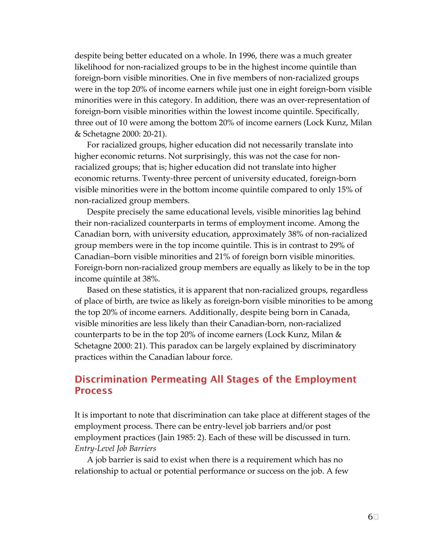despite being better educated on a whole. In 1996, there was a much greater likelihood for non‐racialized groups to be in the highest income quintile than foreign‐born visible minorities. One in five members of non‐racialized groups were in the top 20% of income earners while just one in eight foreign‐born visible minorities were in this category. In addition, there was an over‐representation of foreign‐born visible minorities within the lowest income quintile. Specifically, three out of 10 were among the bottom 20% of income earners (Lock Kunz, Milan & Schetagne 2000: 20‐21).

 For racialized groups, higher education did not necessarily translate into higher economic returns. Not surprisingly, this was not the case for non‐ racialized groups; that is; higher education did not translate into higher economic returns. Twenty‐three percent of university educated, foreign‐born visible minorities were in the bottom income quintile compared to only 15% of non‐racialized group members.

 Despite precisely the same educational levels, visible minorities lag behind their non‐racialized counterparts in terms of employment income. Among the Canadian born, with university education, approximately 38% of non‐racialized group members were in the top income quintile. This is in contrast to 29% of Canadian–born visible minorities and 21% of foreign born visible minorities. Foreign‐born non‐racialized group members are equally as likely to be in the top income quintile at 38%.

 Based on these statistics, it is apparent that non‐racialized groups, regardless of place of birth, are twice as likely as foreign‐born visible minorities to be among the top 20% of income earners. Additionally, despite being born in Canada, visible minorities are less likely than their Canadian‐born, non‐racialized counterparts to be in the top 20% of income earners (Lock Kunz, Milan & Schetagne 2000: 21). This paradox can be largely explained by discriminatory practices within the Canadian labour force.

# Discrimination Permeating All Stages of the Employment Process

 It is important to note that discrimination can take place at different stages of the employment process. There can be entry‐level job barriers and/or post employment practices (Jain 1985: 2). Each of these will be discussed in turn.  *Entry‐Level Job Barriers*

 A job barrier is said to exist when there is a requirement which has no relationship to actual or potential performance or success on the job. A few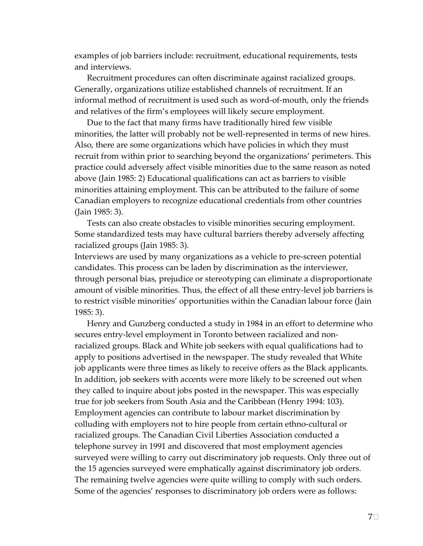examples of job barriers include: recruitment, educational requirements, tests and interviews.

 Recruitment procedures can often discriminate against racialized groups. Generally, organizations utilize established channels of recruitment. If an informal method of recruitment is used such as word‐of‐mouth, only the friends and relatives of the firm's employees will likely secure employment.

 Due to the fact that many firms have traditionally hired few visible minorities, the latter will probably not be well‐represented in terms of new hires. Also, there are some organizations which have policies in which they must recruit from within prior to searching beyond the organizations' perimeters. This practice could adversely affect visible minorities due to the same reason as noted above (Jain 1985: 2) Educational qualifications can act as barriers to visible minorities attaining employment. This can be attributed to the failure of some Canadian employers to recognize educational credentials from other countries (Jain 1985: 3).

 Tests can also create obstacles to visible minorities securing employment. Some standardized tests may have cultural barriers thereby adversely affecting racialized groups (Jain 1985: 3).

 Interviews are used by many organizations as a vehicle to pre‐screen potential candidates. This process can be laden by discrimination as the interviewer, through personal bias, prejudice or stereotyping can eliminate a disproportionate amount of visible minorities. Thus, the effect of all these entry‐level job barriers is to restrict visible minorities' opportunities within the Canadian labour force (Jain 1985: 3).

 Henry and Gunzberg conducted a study in 1984 in an effort to determine who secures entry‐level employment in Toronto between racialized and non‐ racialized groups. Black and White job seekers with equal qualifications had to apply to positions advertised in the newspaper. The study revealed that White job applicants were three times as likely to receive offers as the Black applicants. In addition, job seekers with accents were more likely to be screened out when they called to inquire about jobs posted in the newspaper. This was especially true for job seekers from South Asia and the Caribbean (Henry 1994: 103). Employment agencies can contribute to labour market discrimination by colluding with employers not to hire people from certain ethno‐cultural or racialized groups. The Canadian Civil Liberties Association conducted a telephone survey in 1991 and discovered that most employment agencies surveyed were willing to carry out discriminatory job requests. Only three out of the 15 agencies surveyed were emphatically against discriminatory job orders. The remaining twelve agencies were quite willing to comply with such orders. Some of the agencies' responses to discriminatory job orders were as follows: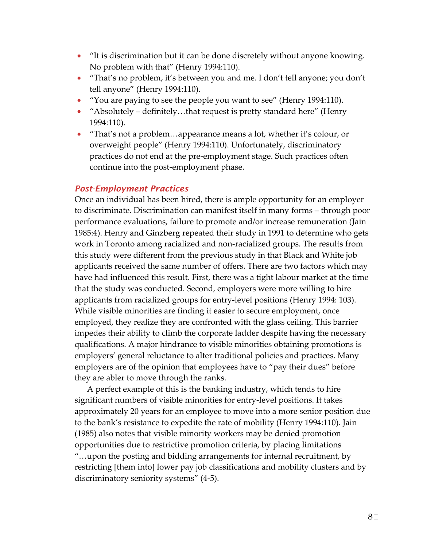- • "It is discrimination but it can be done discretely without anyone knowing. No problem with that" (Henry 1994:110).
- • "That's no problem, it's between you and me. I don't tell anyone; you don't tell anyone" (Henry 1994:110).
- "You are paying to see the people you want to see" (Henry 1994:110).
- "Absolutely definitely...that request is pretty standard here" (Henry 1994:110).
- "That's not a problem...appearance means a lot, whether it's colour, or overweight people" (Henry 1994:110). Unfortunately, discriminatory practices do not end at the pre‐employment stage. Such practices often continue into the post‐employment phase.

## *Post-Employment Practices*

 Once an individual has been hired, there is ample opportunity for an employer to discriminate. Discrimination can manifest itself in many forms – through poor performance evaluations, failure to promote and/or increase remuneration (Jain 1985:4). Henry and Ginzberg repeated their study in 1991 to determine who gets work in Toronto among racialized and non‐racialized groups. The results from this study were different from the previous study in that Black and White job applicants received the same number of offers. There are two factors which may have had influenced this result. First, there was a tight labour market at the time that the study was conducted. Second, employers were more willing to hire applicants from racialized groups for entry‐level positions (Henry 1994: 103). While visible minorities are finding it easier to secure employment, once employed, they realize they are confronted with the glass ceiling. This barrier impedes their ability to climb the corporate ladder despite having the necessary qualifications. A major hindrance to visible minorities obtaining promotions is employers' general reluctance to alter traditional policies and practices. Many employers are of the opinion that employees have to "pay their dues" before they are abler to move through the ranks.

 A perfect example of this is the banking industry, which tends to hire significant numbers of visible minorities for entry‐level positions. It takes approximately 20 years for an employee to move into a more senior position due to the bank's resistance to expedite the rate of mobility (Henry 1994:110). Jain (1985) also notes that visible minority workers may be denied promotion opportunities due to restrictive promotion criteria, by placing limitations "…upon the posting and bidding arrangements for internal recruitment, by restricting [them into] lower pay job classifications and mobility clusters and by discriminatory seniority systems" (4‐5).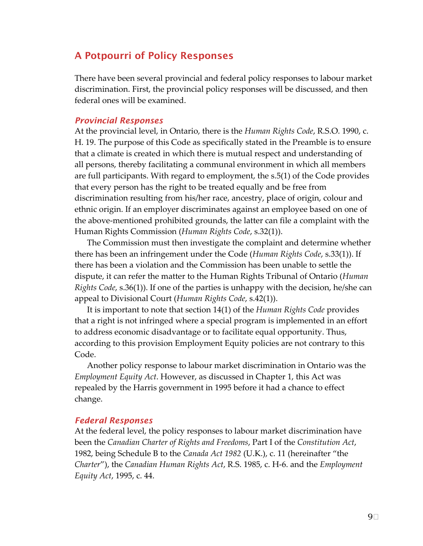# A Potpourri of Policy Responses

 There have been several provincial and federal policy responses to labour market discrimination. First, the provincial policy responses will be discussed, and then federal ones will be examined.

#### *Provincial Responses*

  At the provincial level, in Ontario, there is the *Human Rights Code*, R.S.O. 1990, c. H. 19. The purpose of this Code as specifically stated in the Preamble is to ensure that a climate is created in which there is mutual respect and understanding of all persons, thereby facilitating a communal environment in which all members are full participants. With regard to employment, the s.5(1) of the Code provides that every person has the right to be treated equally and be free from discrimination resulting from his/her race, ancestry, place of origin, colour and ethnic origin. If an employer discriminates against an employee based on one of the above‐mentioned prohibited grounds, the latter can file a complaint with the  Human Rights Commission (*Human Rights Code*, s.32(1)).

 The Commission must then investigate the complaint and determine whether  there has been an infringement under the Code (*Human Rights Code*, s.33(1)). If there has been a violation and the Commission has been unable to settle the dispute, it can refer the matter to the Human Rights Tribunal of Ontario (*Human Rights Code*, s.36(1)). If one of the parties is unhappy with the decision, he/she can  appeal to Divisional Court (*Human Rights Code*, s.42(1)).

  It is important to note that section 14(1) of the *Human Rights Code* provides that a right is not infringed where a special program is implemented in an effort to address economic disadvantage or to facilitate equal opportunity. Thus, according to this provision Employment Equity policies are not contrary to this Code.

 Another policy response to labour market discrimination in Ontario was the  *Employment Equity Act*. However, as discussed in Chapter 1, this Act was repealed by the Harris government in 1995 before it had a chance to effect change.

#### *Federal Responses*

 At the federal level, the policy responses to labour market discrimination have  been the *Canadian Charter of Rights and Freedoms*, Part I of the *Constitution Act*,  1982, being Schedule B to the *Canada Act 1982* (U.K.), c. 11 (hereinafter "the  *Charter*"), the *Canadian Human Rights Act*, R.S. 1985, c. H‐6. and the *Employment Equity Act*, 1995, c. 44.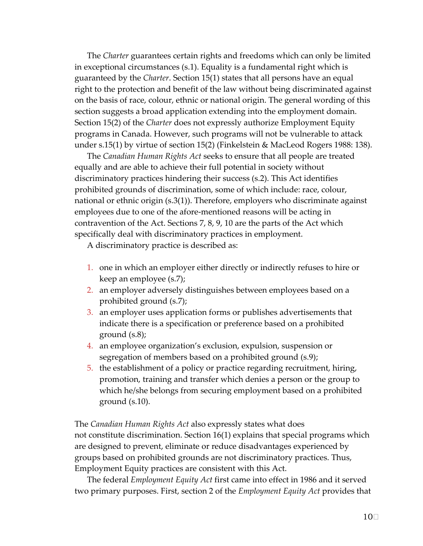The *Charter* guarantees certain rights and freedoms which can only be limited in exceptional circumstances (s.1). Equality is a fundamental right which is guaranteed by the *Charter*. Section 15(1) states that all persons have an equal right to the protection and benefit of the law without being discriminated against on the basis of race, colour, ethnic or national origin. The general wording of this section suggests a broad application extending into the employment domain. Section 15(2) of the *Charter* does not expressly authorize Employment Equity programs in Canada. However, such programs will not be vulnerable to attack under s.15(1) by virtue of section 15(2) (Finkelstein & MacLeod Rogers 1988: 138).

 The *Canadian Human Rights Act* seeks to ensure that all people are treated equally and are able to achieve their full potential in society without discriminatory practices hindering their success (s.2). This Act identifies prohibited grounds of discrimination, some of which include: race, colour, national or ethnic origin (s.3(1)). Therefore, employers who discriminate against employees due to one of the afore‐mentioned reasons will be acting in contravention of the Act. Sections 7, 8, 9, 10 are the parts of the Act which specifically deal with discriminatory practices in employment.

A discriminatory practice is described as:

- 1. one in which an employer either directly or indirectly refuses to hire or keep an employee (s.7);
- 2. an employer adversely distinguishes between employees based on a prohibited ground (s.7);
- 3. an employer uses application forms or publishes advertisements that indicate there is a specification or preference based on a prohibited ground (s.8);
- 4. an employee organization's exclusion, expulsion, suspension or segregation of members based on a prohibited ground (s.9);
- 5. the establishment of a policy or practice regarding recruitment, hiring, promotion, training and transfer which denies a person or the group to which he/she belongs from securing employment based on a prohibited ground (s.10).

 The *Canadian Human Rights Act* also expressly states what does not constitute discrimination. Section 16(1) explains that special programs which are designed to prevent, eliminate or reduce disadvantages experienced by groups based on prohibited grounds are not discriminatory practices. Thus, Employment Equity practices are consistent with this Act.

  The federal *Employment Equity Act* first came into effect in 1986 and it served  two primary purposes. First, section 2 of the *Employment Equity Act* provides that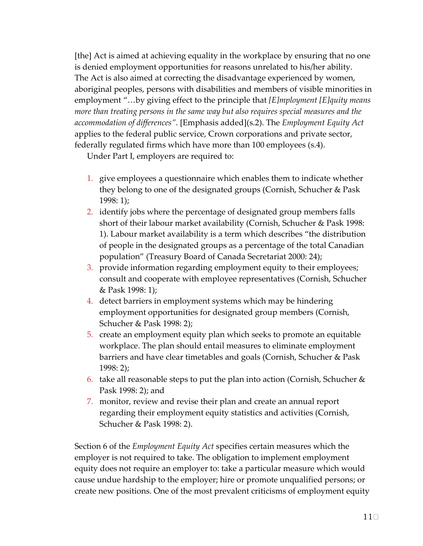[the] Act is aimed at achieving equality in the workplace by ensuring that no one is denied employment opportunities for reasons unrelated to his/her ability. The Act is also aimed at correcting the disadvantage experienced by women, aboriginal peoples, persons with disabilities and members of visible minorities in  employment "…by giving effect to the principle that *[E]mployment [E]quity means* more than treating persons in the same way but also requires special measures and the  *accommodation of differences"*. [Emphasis added](s.2). The *Employment Equity Act* applies to the federal public service, Crown corporations and private sector, federally regulated firms which have more than 100 employees (s.4).

Under Part I, employers are required to:

- 1. give employees a questionnaire which enables them to indicate whether they belong to one of the designated groups (Cornish, Schucher & Pask 1998: 1);
- 2. identify jobs where the percentage of designated group members falls short of their labour market availability (Cornish, Schucher & Pask 1998: 1). Labour market availability is a term which describes "the distribution of people in the designated groups as a percentage of the total Canadian population" (Treasury Board of Canada Secretariat 2000: 24);
- 3. provide information regarding employment equity to their employees; consult and cooperate with employee representatives (Cornish, Schucher & Pask 1998: 1);
- 4. detect barriers in employment systems which may be hindering employment opportunities for designated group members (Cornish, Schucher & Pask 1998: 2);
- 5. create an employment equity plan which seeks to promote an equitable workplace. The plan should entail measures to eliminate employment barriers and have clear timetables and goals (Cornish, Schucher & Pask 1998: 2);
- 6. take all reasonable steps to put the plan into action (Cornish, Schucher  $\&$ Pask 1998: 2); and
- 7. monitor, review and revise their plan and create an annual report regarding their employment equity statistics and activities (Cornish, Schucher & Pask 1998: 2).

  Section 6 of the *Employment Equity Act* specifies certain measures which the employer is not required to take. The obligation to implement employment equity does not require an employer to: take a particular measure which would cause undue hardship to the employer; hire or promote unqualified persons; or create new positions. One of the most prevalent criticisms of employment equity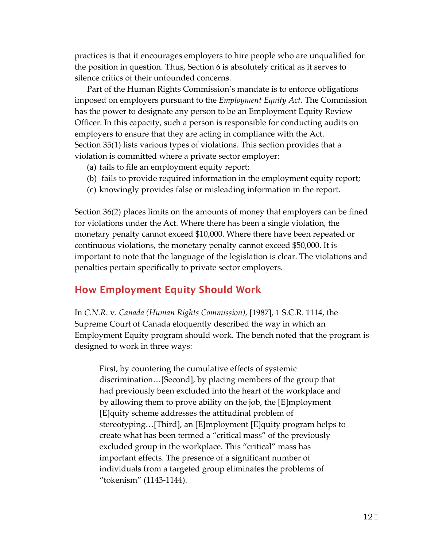practices is that it encourages employers to hire people who are unqualified for the position in question. Thus, Section 6 is absolutely critical as it serves to silence critics of their unfounded concerns.

 Part of the Human Rights Commission's mandate is to enforce obligations  imposed on employers pursuant to the *Employment Equity Act*. The Commission has the power to designate any person to be an Employment Equity Review Officer. In this capacity, such a person is responsible for conducting audits on employers to ensure that they are acting in compliance with the Act. Section 35(1) lists various types of violations. This section provides that a violation is committed where a private sector employer:

- (a) fails to file an employment equity report;
- (b) fails to provide required information in the employment equity report;
- (c) knowingly provides false or misleading information in the report.

 Section 36(2) places limits on the amounts of money that employers can be fined for violations under the Act. Where there has been a single violation, the monetary penalty cannot exceed \$10,000. Where there have been repeated or continuous violations, the monetary penalty cannot exceed \$50,000. It is important to note that the language of the legislation is clear. The violations and penalties pertain specifically to private sector employers.

## How Employment Equity Should Work

  In *C.N.R*. v. *Canada (Human Rights Commission)*, [1987], 1 S.C.R. 1114, the Supreme Court of Canada eloquently described the way in which an Employment Equity program should work. The bench noted that the program is designed to work in three ways:

 First, by countering the cumulative effects of systemic discrimination…[Second], by placing members of the group that had previously been excluded into the heart of the workplace and by allowing them to prove ability on the job, the [E]mployment [E]quity scheme addresses the attitudinal problem of stereotyping…[Third], an [E]mployment [E]quity program helps to create what has been termed a "critical mass" of the previously excluded group in the workplace. This "critical" mass has important effects. The presence of a significant number of individuals from a targeted group eliminates the problems of "tokenism" (1143‐1144).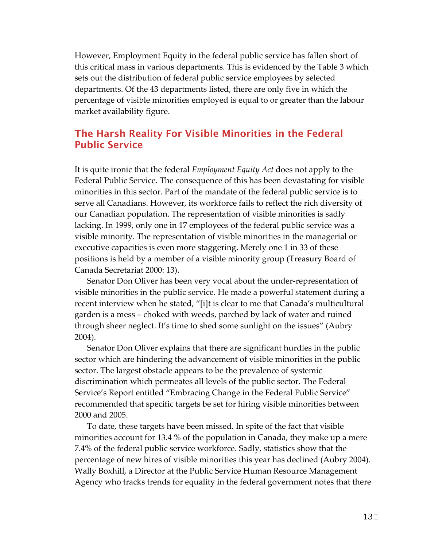However, Employment Equity in the federal public service has fallen short of this critical mass in various departments. This is evidenced by the Table 3 which sets out the distribution of federal public service employees by selected departments. Of the 43 departments listed, there are only five in which the percentage of visible minorities employed is equal to or greater than the labour market availability figure.

# Public Service The Harsh Reality For Visible Minorities in the Federal

  It is quite ironic that the federal *Employment Equity Act* does not apply to the Federal Public Service. The consequence of this has been devastating for visible minorities in this sector. Part of the mandate of the federal public service is to serve all Canadians. However, its workforce fails to reflect the rich diversity of our Canadian population. The representation of visible minorities is sadly lacking. In 1999, only one in 17 employees of the federal public service was a visible minority. The representation of visible minorities in the managerial or executive capacities is even more staggering. Merely one 1 in 33 of these positions is held by a member of a visible minority group (Treasury Board of Canada Secretariat 2000: 13).

 Senator Don Oliver has been very vocal about the under‐representation of visible minorities in the public service. He made a powerful statement during a recent interview when he stated, "[i]t is clear to me that Canada's multicultural garden is a mess – choked with weeds, parched by lack of water and ruined through sheer neglect. It's time to shed some sunlight on the issues" (Aubry 2004).

 Senator Don Oliver explains that there are significant hurdles in the public sector which are hindering the advancement of visible minorities in the public sector. The largest obstacle appears to be the prevalence of systemic discrimination which permeates all levels of the public sector. The Federal Service's Report entitled "Embracing Change in the Federal Public Service" recommended that specific targets be set for hiring visible minorities between 2000 and 2005.

 To date, these targets have been missed. In spite of the fact that visible minorities account for 13.4 % of the population in Canada, they make up a mere 7.4% of the federal public service workforce. Sadly, statistics show that the percentage of new hires of visible minorities this year has declined (Aubry 2004). Wally Boxhill, a Director at the Public Service Human Resource Management Agency who tracks trends for equality in the federal government notes that there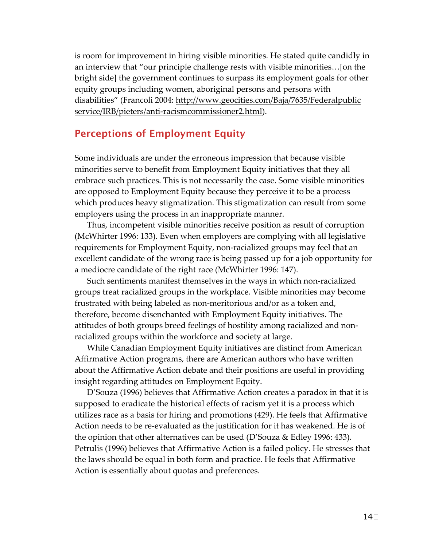is room for improvement in hiring visible minorities. He stated quite candidly in an interview that "our principle challenge rests with visible minorities…[on the bright side] the government continues to surpass its employment goals for other equity groups including women, aboriginal persons and persons with disabilities" (Francoli 2004: <u>http://www.geocities.com/Baja/7635/Federalpublic</u> service/IRB/pieters/anti‐racismcommissioner2.html).

## Perceptions of Employment Equity

 Some individuals are under the erroneous impression that because visible minorities serve to benefit from Employment Equity initiatives that they all embrace such practices. This is not necessarily the case. Some visible minorities are opposed to Employment Equity because they perceive it to be a process which produces heavy stigmatization. This stigmatization can result from some employers using the process in an inappropriate manner.

 Thus, incompetent visible minorities receive position as result of corruption (McWhirter 1996: 133). Even when employers are complying with all legislative requirements for Employment Equity, non‐racialized groups may feel that an excellent candidate of the wrong race is being passed up for a job opportunity for a mediocre candidate of the right race (McWhirter 1996: 147).

 Such sentiments manifest themselves in the ways in which non‐racialized groups treat racialized groups in the workplace. Visible minorities may become frustrated with being labeled as non‐meritorious and/or as a token and, therefore, become disenchanted with Employment Equity initiatives. The attitudes of both groups breed feelings of hostility among racialized and non‐ racialized groups within the workforce and society at large.

 While Canadian Employment Equity initiatives are distinct from American Affirmative Action programs, there are American authors who have written about the Affirmative Action debate and their positions are useful in providing insight regarding attitudes on Employment Equity.

 D'Souza (1996) believes that Affirmative Action creates a paradox in that it is supposed to eradicate the historical effects of racism yet it is a process which utilizes race as a basis for hiring and promotions (429). He feels that Affirmative Action needs to be re‐evaluated as the justification for it has weakened. He is of the opinion that other alternatives can be used (D'Souza & Edley 1996: 433). Petrulis (1996) believes that Affirmative Action is a failed policy. He stresses that the laws should be equal in both form and practice. He feels that Affirmative Action is essentially about quotas and preferences.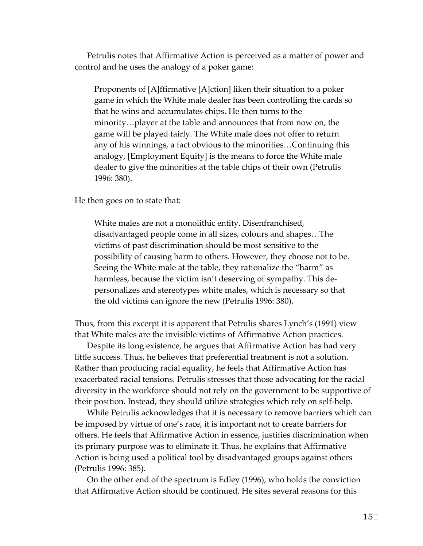Petrulis notes that Affirmative Action is perceived as a matter of power and control and he uses the analogy of a poker game:

 Proponents of [A]ffirmative [A]ction] liken their situation to a poker game in which the White male dealer has been controlling the cards so that he wins and accumulates chips. He then turns to the minority…player at the table and announces that from now on, the game will be played fairly. The White male does not offer to return any of his winnings, a fact obvious to the minorities…Continuing this analogy, [Employment Equity] is the means to force the White male dealer to give the minorities at the table chips of their own (Petrulis 1996: 380).

He then goes on to state that:

 White males are not a monolithic entity. Disenfranchised, disadvantaged people come in all sizes, colours and shapes…The victims of past discrimination should be most sensitive to the possibility of causing harm to others. However, they choose not to be. Seeing the White male at the table, they rationalize the "harm" as harmless, because the victim isn't deserving of sympathy. This de‐ personalizes and stereotypes white males, which is necessary so that the old victims can ignore the new (Petrulis 1996: 380).

 Thus, from this excerpt it is apparent that Petrulis shares Lynch's (1991) view that White males are the invisible victims of Affirmative Action practices.

 Despite its long existence, he argues that Affirmative Action has had very little success. Thus, he believes that preferential treatment is not a solution. Rather than producing racial equality, he feels that Affirmative Action has exacerbated racial tensions. Petrulis stresses that those advocating for the racial diversity in the workforce should not rely on the government to be supportive of their position. Instead, they should utilize strategies which rely on self‐help.

 While Petrulis acknowledges that it is necessary to remove barriers which can be imposed by virtue of one's race, it is important not to create barriers for others. He feels that Affirmative Action in essence, justifies discrimination when its primary purpose was to eliminate it. Thus, he explains that Affirmative Action is being used a political tool by disadvantaged groups against others (Petrulis 1996: 385).

 On the other end of the spectrum is Edley (1996), who holds the conviction that Affirmative Action should be continued. He sites several reasons for this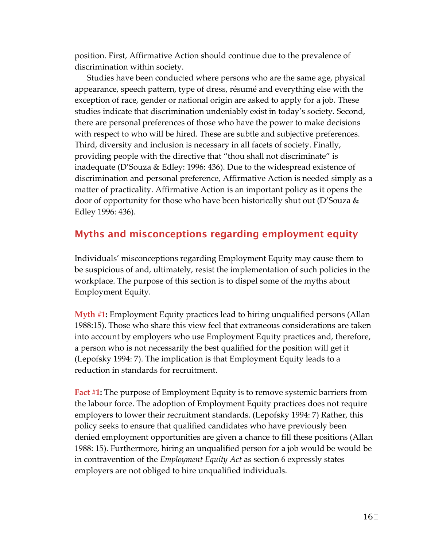position. First, Affirmative Action should continue due to the prevalence of discrimination within society.

 Studies have been conducted where persons who are the same age, physical appearance, speech pattern, type of dress, résumé and everything else with the exception of race, gender or national origin are asked to apply for a job. These studies indicate that discrimination undeniably exist in today's society. Second, there are personal preferences of those who have the power to make decisions with respect to who will be hired. These are subtle and subjective preferences. Third, diversity and inclusion is necessary in all facets of society. Finally, providing people with the directive that "thou shall not discriminate" is inadequate (D'Souza & Edley: 1996: 436). Due to the widespread existence of discrimination and personal preference, Affirmative Action is needed simply as a matter of practicality. Affirmative Action is an important policy as it opens the door of opportunity for those who have been historically shut out (D'Souza & Edley 1996: 436).

# Myths and misconceptions regarding employment equity

 Individuals' misconceptions regarding Employment Equity may cause them to be suspicious of and, ultimately, resist the implementation of such policies in the workplace. The purpose of this section is to dispel some of the myths about Employment Equity.

 **Myth #1:** Employment Equity practices lead to hiring unqualified persons (Allan 1988:15). Those who share this view feel that extraneous considerations are taken into account by employers who use Employment Equity practices and, therefore, a person who is not necessarily the best qualified for the position will get it (Lepofsky 1994: 7). The implication is that Employment Equity leads to a reduction in standards for recruitment.

 **Fact #1:** The purpose of Employment Equity is to remove systemic barriers from the labour force. The adoption of Employment Equity practices does not require employers to lower their recruitment standards. (Lepofsky 1994: 7) Rather, this policy seeks to ensure that qualified candidates who have previously been denied employment opportunities are given a chance to fill these positions (Allan 1988: 15). Furthermore, hiring an unqualified person for a job would be would be  in contravention of the *Employment Equity Act* as section 6 expressly states employers are not obliged to hire unqualified individuals.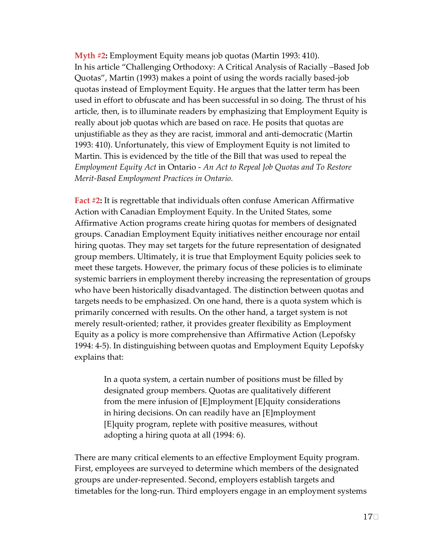**Myth #2:** Employment Equity means job quotas (Martin 1993: 410). In his article "Challenging Orthodoxy: A Critical Analysis of Racially –Based Job Quotas", Martin (1993) makes a point of using the words racially based‐job quotas instead of Employment Equity. He argues that the latter term has been used in effort to obfuscate and has been successful in so doing. The thrust of his article, then, is to illuminate readers by emphasizing that Employment Equity is really about job quotas which are based on race. He posits that quotas are unjustifiable as they as they are racist, immoral and anti‐democratic (Martin 1993: 410). Unfortunately, this view of Employment Equity is not limited to Martin. This is evidenced by the title of the Bill that was used to repeal the  *Employment Equity Act* in Ontario ‐ *An Act to Repeal Job Quotas and To Restore Merit‐Based Employment Practices in Ontario.*

 **Fact #2:** It is regrettable that individuals often confuse American Affirmative Action with Canadian Employment Equity. In the United States, some Affirmative Action programs create hiring quotas for members of designated groups. Canadian Employment Equity initiatives neither encourage nor entail hiring quotas. They may set targets for the future representation of designated group members. Ultimately, it is true that Employment Equity policies seek to meet these targets. However, the primary focus of these policies is to eliminate systemic barriers in employment thereby increasing the representation of groups who have been historically disadvantaged. The distinction between quotas and targets needs to be emphasized. On one hand, there is a quota system which is primarily concerned with results. On the other hand, a target system is not merely result‐oriented; rather, it provides greater flexibility as Employment Equity as a policy is more comprehensive than Affirmative Action (Lepofsky 1994: 4‐5). In distinguishing between quotas and Employment Equity Lepofsky explains that:

> In a quota system, a certain number of positions must be filled by designated group members. Quotas are qualitatively different from the mere infusion of [E]mployment [E]quity considerations in hiring decisions. On can readily have an [E]mployment [E]quity program, replete with positive measures, without adopting a hiring quota at all (1994: 6).

 There are many critical elements to an effective Employment Equity program. First, employees are surveyed to determine which members of the designated groups are under‐represented. Second, employers establish targets and timetables for the long‐run. Third employers engage in an employment systems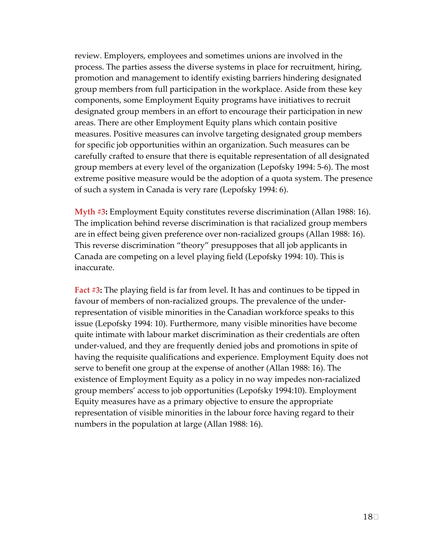review. Employers, employees and sometimes unions are involved in the process. The parties assess the diverse systems in place for recruitment, hiring, promotion and management to identify existing barriers hindering designated group members from full participation in the workplace. Aside from these key components, some Employment Equity programs have initiatives to recruit designated group members in an effort to encourage their participation in new areas. There are other Employment Equity plans which contain positive measures. Positive measures can involve targeting designated group members for specific job opportunities within an organization. Such measures can be carefully crafted to ensure that there is equitable representation of all designated group members at every level of the organization (Lepofsky 1994: 5‐6). The most extreme positive measure would be the adoption of a quota system. The presence of such a system in Canada is very rare (Lepofsky 1994: 6).

 **Myth #3:** Employment Equity constitutes reverse discrimination (Allan 1988: 16). The implication behind reverse discrimination is that racialized group members are in effect being given preference over non‐racialized groups (Allan 1988: 16). This reverse discrimination "theory" presupposes that all job applicants in Canada are competing on a level playing field (Lepofsky 1994: 10). This is inaccurate.

 **Fact #3:** The playing field is far from level. It has and continues to be tipped in favour of members of non‐racialized groups. The prevalence of the under‐ representation of visible minorities in the Canadian workforce speaks to this issue (Lepofsky 1994: 10). Furthermore, many visible minorities have become quite intimate with labour market discrimination as their credentials are often under‐valued, and they are frequently denied jobs and promotions in spite of having the requisite qualifications and experience. Employment Equity does not serve to benefit one group at the expense of another (Allan 1988: 16). The existence of Employment Equity as a policy in no way impedes non‐racialized group members' access to job opportunities (Lepofsky 1994:10). Employment Equity measures have as a primary objective to ensure the appropriate representation of visible minorities in the labour force having regard to their numbers in the population at large (Allan 1988: 16).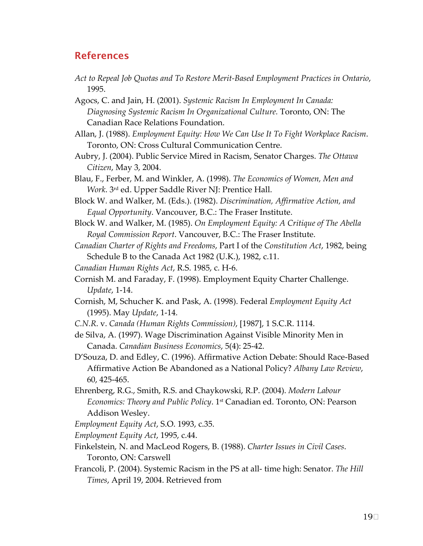# References

Act to Repeal Job Quotas and To Restore Merit-Based Employment Practices in Ontario, 1995.

  Agocs, C. and Jain, H. (2001). *Systemic Racism In Employment In Canada: Diagnosing Systemic Racism In Organizational Culture.* Toronto, ON: The Canadian Race Relations Foundation.

- Allan, J. (1988). *Employment Equity: How We Can Use It To Fight Workplace Racism*. Toronto, ON: Cross Cultural Communication Centre.
- Aubry, J. (2004). Public Service Mired in Racism, Senator Charges. *The Ottawa Citizen*, May 3, 2004.
- Blau, F., Ferber, M. and Winkler, A. (1998). *The Economics of Women, Men and Work*. 3rd ed. Upper Saddle River NJ: Prentice Hall.
- Block W. and Walker, M. (Eds.). (1982). *Discrimination, Affirmative Action, and Equal Opportunity*. Vancouver, B.C.: The Fraser Institute.
- Block W. and Walker, M. (1985). *On Employment Equity: A Critique of The Abella Royal Commission Report*. Vancouver, B.C.: The Fraser Institute.
- *Canadian Charter of Rights and Freedoms*, Part I of the *Constitution Act*, 1982, being Schedule B to the Canada Act 1982 (U.K.), 1982, c.11.
- *Canadian Human Rights Act*, R.S. 1985, c. H‐6.
- Cornish M. and Faraday, F. (1998). Employment Equity Charter Challenge. *Update*, 1‐14.
- Cornish, M, Schucher K. and Pask, A. (1998). Federal *Employment Equity Act* (1995). May *Update*, 1‐14.
- *C.N.R*. v. *Canada (Human Rights Commission)*, [1987], 1 S.C.R. 1114.
- de Silva, A. (1997). Wage Discrimination Against Visible Minority Men in  Canada. *Canadian Business Economics*, 5(4): 25‐42.
- D'Souza, D. and Edley, C. (1996). Affirmative Action Debate: Should Race‐Based  Affirmative Action Be Abandoned as a National Policy? *Albany Law Review*, 60, 425‐465.
- Ehrenberg, R.G., Smith, R.S. and Chaykowski, R.P. (2004). *Modern Labour Economics: Theory and Public Policy*. 1st Canadian ed. Toronto, ON: Pearson Addison Wesley.
- *Employment Equity Act*, S.O. 1993, c.35.
- *Employment Equity Act*, 1995, c.44.
- Finkelstein, N. and MacLeod Rogers, B. (1988). *Charter Issues in Civil Cases*. Toronto, ON: Carswell
- Francoli, P. (2004). Systemic Racism in the PS at all‐ time high: Senator. *The Hill Times*, April 19, 2004. Retrieved from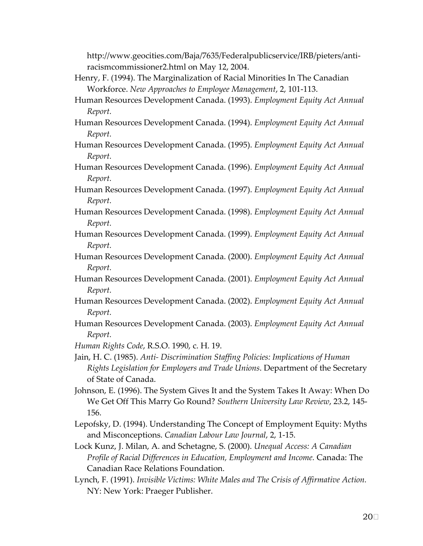racismcommissioner2.html on May 12, 2004. http://www.geocities.com/Baja/7635/Federalpublicservice/IRB/pieters/anti‐

- Henry, F. (1994). The Marginalization of Racial Minorities In The Canadian  Workforce. *New Approaches to Employee Management*, 2, 101‐113.
- Human Resources Development Canada. (1993). *Employment Equity Act Annual Report.*
- Human Resources Development Canada. (1994). *Employment Equity Act Annual Report.*
- Human Resources Development Canada. (1995). *Employment Equity Act Annual Report.*
- Human Resources Development Canada. (1996). *Employment Equity Act Annual Report.*
- Human Resources Development Canada. (1997). *Employment Equity Act Annual Report.*
- Human Resources Development Canada. (1998). *Employment Equity Act Annual Report.*
- Human Resources Development Canada. (1999). *Employment Equity Act Annual Report.*
- Human Resources Development Canada. (2000). *Employment Equity Act Annual Report.*
- Human Resources Development Canada. (2001). *Employment Equity Act Annual Report.*
- Human Resources Development Canada. (2002). *Employment Equity Act Annual Report.*
- Human Resources Development Canada. (2003). *Employment Equity Act Annual Report.*
- *Human Rights Code*, R.S.O. 1990, c. H. 19.
- Jain, H. C. (1985). *Anti‐ Discrimination Staffing Policies: Implications of Human Rights Legislation for Employers and Trade Unions*. Department of the Secretary of State of Canada.
- Johnson, E. (1996). The System Gives It and the System Takes It Away: When Do  We Get Off This Marry Go Round? *Southern University Law Review*, 23.2, 145‐ 156.
- Lepofsky, D. (1994). Understanding The Concept of Employment Equity: Myths  and Misconceptions. *Canadian Labour Law Journal*, 2, 1‐15.
- Lock Kunz, J. Milan, A. and Schetagne, S. (2000). *Unequal Access: A Canadian Profile of Racial Differences in Education, Employment and Income.* Canada: The Canadian Race Relations Foundation.
- Lynch, F. (1991). *Invisible Victims: White Males and The Crisis of Affirmative Action.* NY: New York: Praeger Publisher.